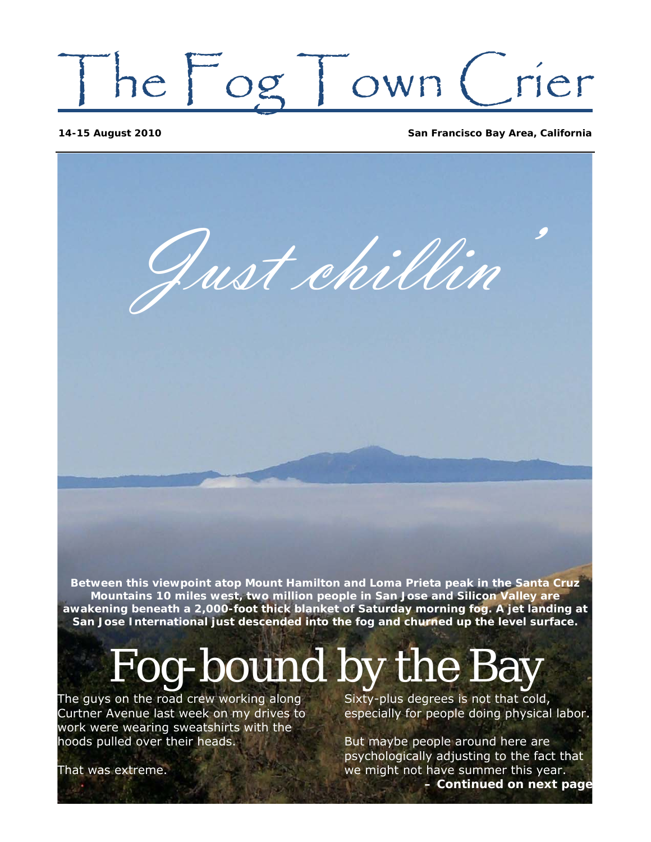# The Fog Town Crier

**14-15 August 2010 San Francisco Bay Area, California**

Just chillin'

**Between this viewpoint atop Mount Hamilton and Loma Prieta peak in the Santa Cruz Mountains 10 miles west, two million people in San Jose and Silicon Valley are awakening beneath a 2,000-foot thick blanket of Saturday morning fog. A jet landing at San Jose International just descended into the fog and churned up the level surface.** 

## Fog-bound by the Bay

The guys on the road crew working along Curtner Avenue last week on my drives to work were wearing sweatshirts with the hoods pulled over their heads.

Sixty-plus degrees is not that cold, especially for people doing physical labor.

But maybe people around here are psychologically adjusting to the fact that we might not have summer this year. *– Continued on next page*

That was extreme.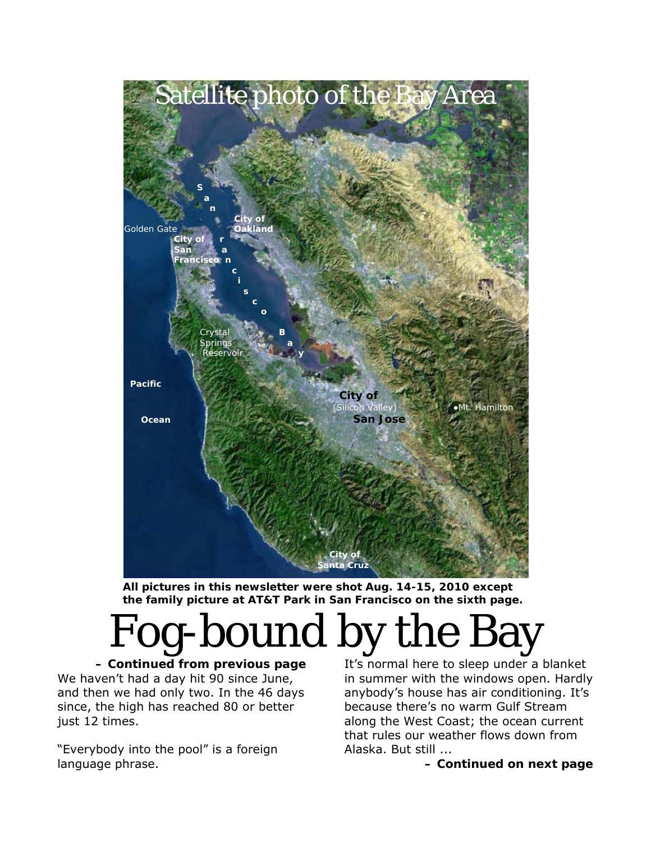

 **All pictures in this newsletter were shot Aug. 14-15, 2010 except the family picture at AT&T Park in San Francisco on the sixth page.** 

Fog-bound by the Bay

*– Continued from previous page*  We haven't had a day hit 90 since June, and then we had only two. In the 46 days since, the high has reached 80 or better just 12 times.

"Everybody into the pool" is a foreign language phrase.

It's normal here to sleep under a blanket in summer with the windows open. Hardly anybody's house has air conditioning. It's because there's no warm Gulf Stream along the West Coast; the ocean current that rules our weather flows down from Alaska. But still ...

*– Continued on next page*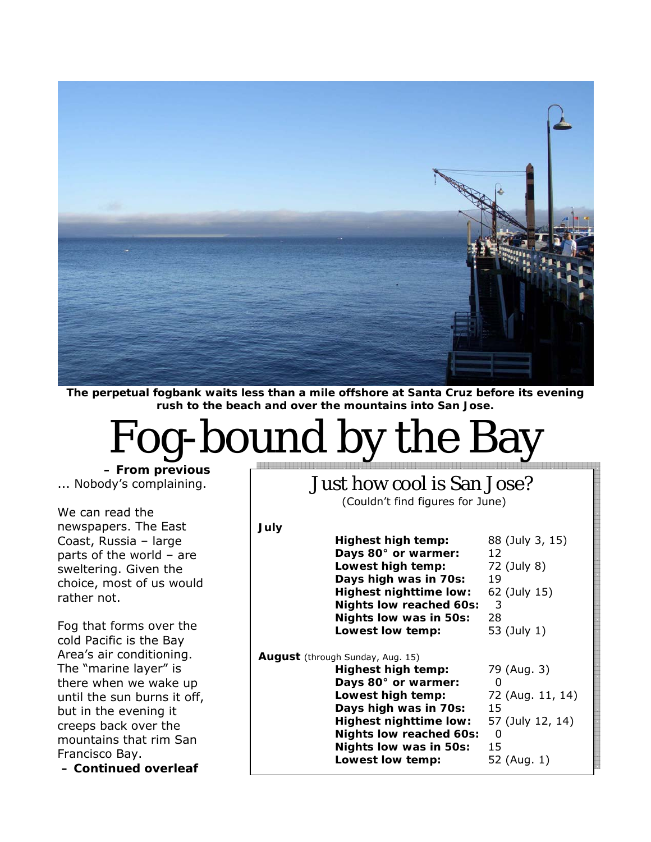

**The perpetual fogbank waits less than a mile offshore at Santa Cruz before its evening rush to the beach and over the mountains into San Jose.** 

## Fog-bound by the Bay

*July* 

*– From previous*  ... Nobody's complaining.

We can read the newspapers. The East Coast, Russia – large parts of the world – are sweltering. Given the choice, most of us would rather not.

Fog that forms over the cold Pacific is the Bay Area's air conditioning. The "marine layer" is there when we wake up until the sun burns it off, but in the evening it creeps back over the mountains that rim San Francisco Bay.

 *– Continued overleaf* 

Just how cool is San Jose?

(Couldn't find figures for June)

| 88 (July 3, 15)<br>12                                                                    |
|------------------------------------------------------------------------------------------|
|                                                                                          |
|                                                                                          |
| 72 (July 8)                                                                              |
| 19                                                                                       |
| 62 (July 15)                                                                             |
| 3                                                                                        |
| 28                                                                                       |
| 53 (July 1)                                                                              |
| 79 (Aug. 3)<br>0<br>72 (Aug. 11, 14)<br>15<br>57 (July 12, 14)<br>0<br>15<br>52 (Aug. 1) |
|                                                                                          |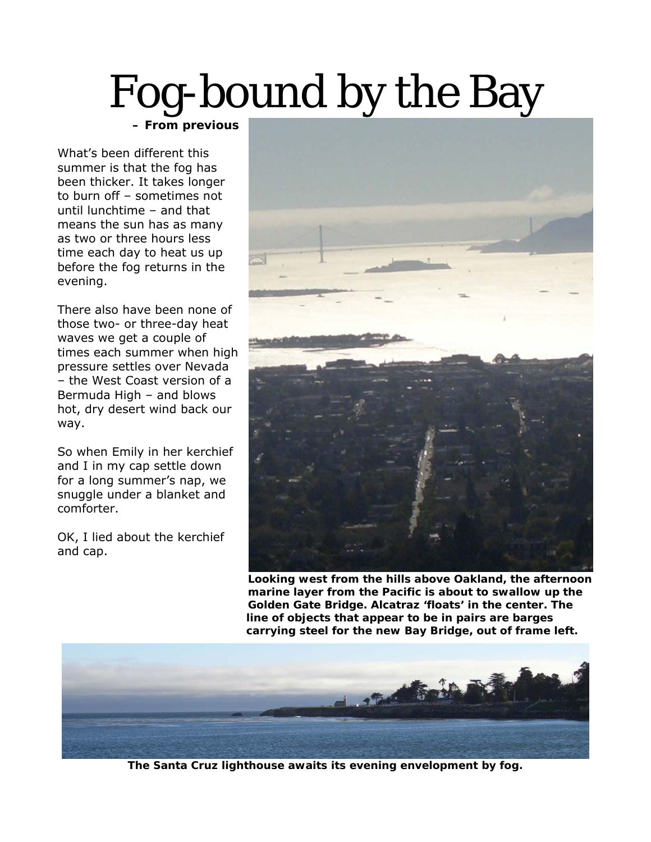#### Fog-bound by the Bay  *– From previous*

What's been different this summer is that the fog has been thicker. It takes longer to burn off – sometimes not until lunchtime – and that means the sun has as many as two or three hours less time each day to heat us up before the fog returns in the evening.

There also have been none of those two- or three-day heat waves we get a couple of times each summer when high pressure settles over Nevada – the West Coast version of a Bermuda High – and blows hot, dry desert wind back our way.

So when Emily in her kerchief and I in my cap settle down for a long summer's nap, we snuggle under a blanket and comforter.

OK, I lied about the kerchief and cap.



 **Looking west from the hills above Oakland, the afternoon marine layer from the Pacific is about to swallow up the Golden Gate Bridge. Alcatraz 'floats' in the center. The line of objects that appear to be in pairs are barges carrying steel for the new Bay Bridge, out of frame left.** 



**The Santa Cruz lighthouse awaits its evening envelopment by fog.**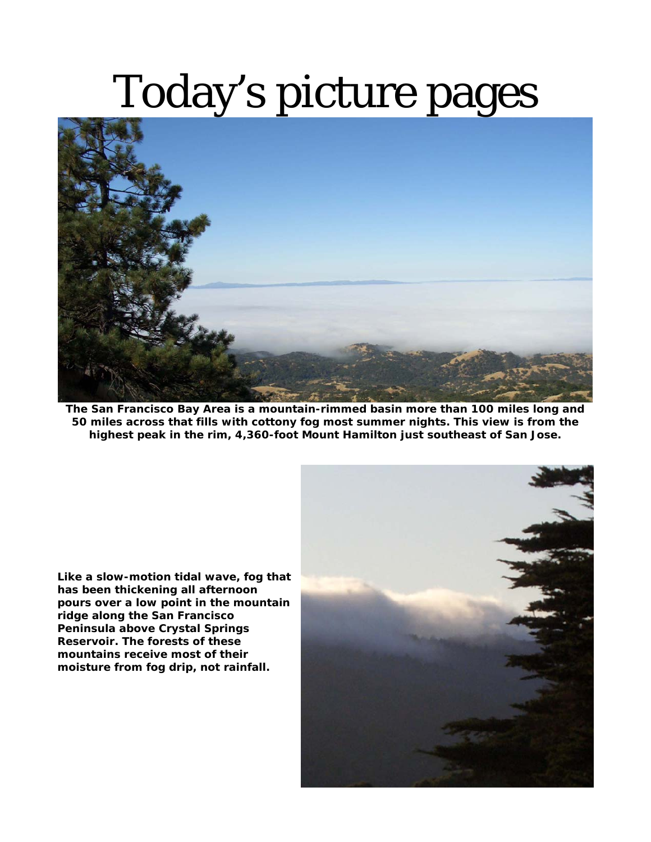### Today's picture pages



**The San Francisco Bay Area is a mountain-rimmed basin more than 100 miles long and 50 miles across that fills with cottony fog most summer nights. This view is from the highest peak in the rim, 4,360-foot Mount Hamilton just southeast of San Jose.** 

**Like a slow-motion tidal wave, fog that has been thickening all afternoon pours over a low point in the mountain ridge along the San Francisco Peninsula above Crystal Springs Reservoir. The forests of these mountains receive most of their moisture from fog drip, not rainfall.**

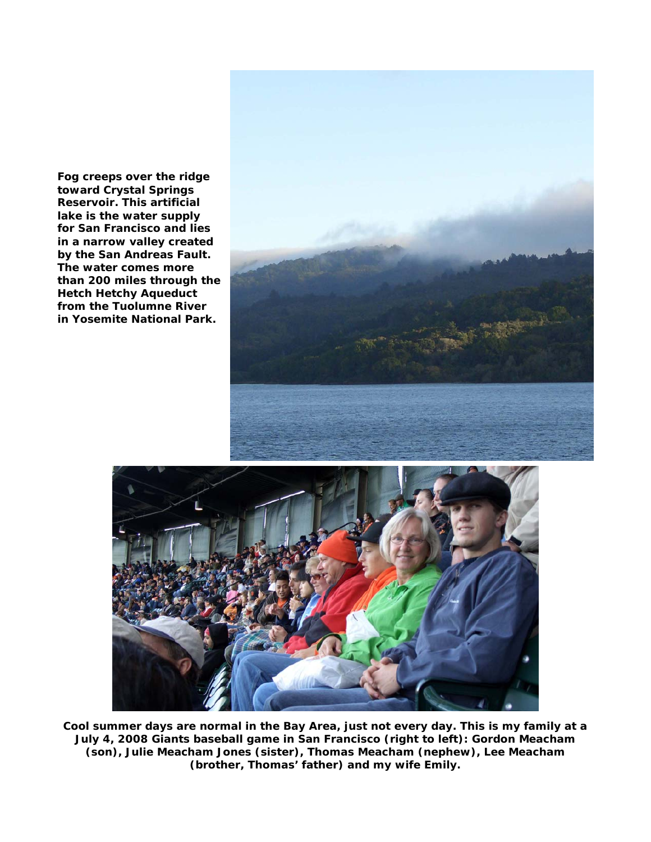**Fog creeps over the ridge toward Crystal Springs Reservoir. This artificial lake is the water supply for San Francisco and lies in a narrow valley created by the San Andreas Fault. The water comes more than 200 miles through the Hetch Hetchy Aqueduct from the Tuolumne River in Yosemite National Park.** 





**Cool summer days are normal in the Bay Area, just not every day. This is my family at a July 4, 2008 Giants baseball game in San Francisco (right to left): Gordon Meacham (son), Julie Meacham Jones (sister), Thomas Meacham (nephew), Lee Meacham (brother, Thomas' father) and my wife Emily.**